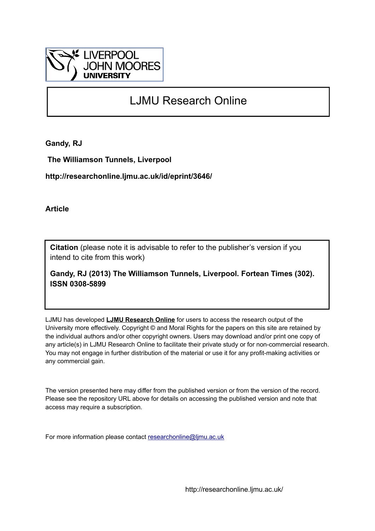

# LJMU Research Online

**Gandy, RJ**

 **The Williamson Tunnels, Liverpool**

**http://researchonline.ljmu.ac.uk/id/eprint/3646/**

**Article**

**Citation** (please note it is advisable to refer to the publisher's version if you intend to cite from this work)

**Gandy, RJ (2013) The Williamson Tunnels, Liverpool. Fortean Times (302). ISSN 0308-5899** 

LJMU has developed **[LJMU Research Online](http://researchonline.ljmu.ac.uk/)** for users to access the research output of the University more effectively. Copyright © and Moral Rights for the papers on this site are retained by the individual authors and/or other copyright owners. Users may download and/or print one copy of any article(s) in LJMU Research Online to facilitate their private study or for non-commercial research. You may not engage in further distribution of the material or use it for any profit-making activities or any commercial gain.

The version presented here may differ from the published version or from the version of the record. Please see the repository URL above for details on accessing the published version and note that access may require a subscription.

For more information please contact [researchonline@ljmu.ac.uk](mailto:researchonline@ljmu.ac.uk)

http://researchonline.ljmu.ac.uk/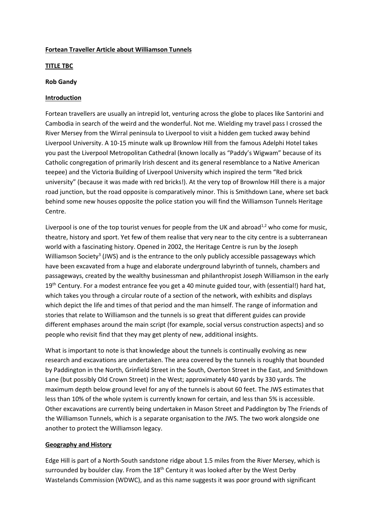#### **Fortean Traveller Article about Williamson Tunnels**

#### **TITLE TBC**

#### **Rob Gandy**

## **Introduction**

Fortean travellers are usually an intrepid lot, venturing across the globe to places like Santorini and Cambodia in search of the weird and the wonderful. Not me. Wielding my travel pass I crossed the River Mersey from the Wirral peninsula to Liverpool to visit a hidden gem tucked away behind Liverpool University. A 10-15 minute walk up Brownlow Hill from the famous Adelphi Hotel takes you past the Liverpool Metropolitan Cathedral (known locally as "Paddy's Wigwam" because of its Catholic congregation of primarily Irish descent and its general resemblance to a Native American teepee) and the Victoria Building of Liverpool University which inspired the term "Red brick university" (because it was made with red bricks!). At the very top of Brownlow Hill there is a major road junction, but the road opposite is comparatively minor. This is Smithdown Lane, where set back behind some new houses opposite the police station you will find the Williamson Tunnels Heritage Centre.

Liverpool is one of the top tourist venues for people from the UK and abroad<sup>1,2</sup> who come for music, theatre, history and sport. Yet few of them realise that very near to the city centre is a subterranean world with a fascinating history. Opened in 2002, the Heritage Centre is run by the Joseph Williamson Society<sup>3</sup> (JWS) and is the entrance to the only publicly accessible passageways which have been excavated from a huge and elaborate underground labyrinth of tunnels, chambers and passageways, created by the wealthy businessman and philanthropist Joseph Williamson in the early 19<sup>th</sup> Century. For a modest entrance fee you get a 40 minute guided tour, with (essential!) hard hat, which takes you through a circular route of a section of the network, with exhibits and displays which depict the life and times of that period and the man himself. The range of information and stories that relate to Williamson and the tunnels is so great that different guides can provide different emphases around the main script (for example, social versus construction aspects) and so people who revisit find that they may get plenty of new, additional insights.

What is important to note is that knowledge about the tunnels is continually evolving as new research and excavations are undertaken. The area covered by the tunnels is roughly that bounded by Paddington in the North, Grinfield Street in the South, Overton Street in the East, and Smithdown Lane (but possibly Old Crown Street) in the West; approximately 440 yards by 330 yards. The maximum depth below ground level for any of the tunnels is about 60 feet. The JWS estimates that less than 10% of the whole system is currently known for certain, and less than 5% is accessible. Other excavations are currently being undertaken in Mason Street and Paddington by The Friends of the Williamson Tunnels, which is a separate organisation to the JWS. The two work alongside one another to protect the Williamson legacy.

## **Geography and History**

Edge Hill is part of a North-South sandstone ridge about 1.5 miles from the River Mersey, which is surrounded by boulder clay. From the  $18<sup>th</sup>$  Century it was looked after by the West Derby Wastelands Commission (WDWC), and as this name suggests it was poor ground with significant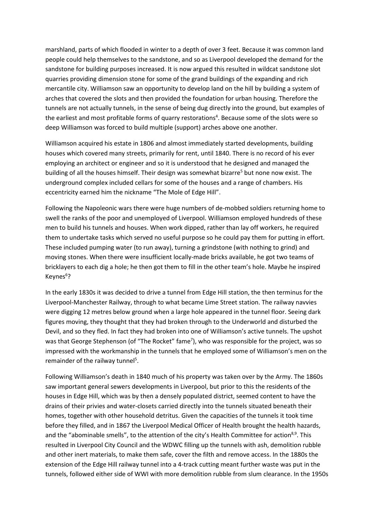marshland, parts of which flooded in winter to a depth of over 3 feet. Because it was common land people could help themselves to the sandstone, and so as Liverpool developed the demand for the sandstone for building purposes increased. It is now argued this resulted in wildcat sandstone slot quarries providing dimension stone for some of the grand buildings of the expanding and rich mercantile city. Williamson saw an opportunity to develop land on the hill by building a system of arches that covered the slots and then provided the foundation for urban housing. Therefore the tunnels are not actually tunnels, in the sense of being dug directly into the ground, but examples of the earliest and most profitable forms of quarry restorations<sup>4</sup>. Because some of the slots were so deep Williamson was forced to build multiple (support) arches above one another.

Williamson acquired his estate in 1806 and almost immediately started developments, building houses which covered many streets, primarily for rent, until 1840. There is no record of his ever employing an architect or engineer and so it is understood that he designed and managed the building of all the houses himself. Their design was somewhat bizarre<sup>5</sup> but none now exist. The underground complex included cellars for some of the houses and a range of chambers. His eccentricity earned him the nickname "The Mole of Edge Hill".

Following the Napoleonic wars there were huge numbers of de-mobbed soldiers returning home to swell the ranks of the poor and unemployed of Liverpool. Williamson employed hundreds of these men to build his tunnels and houses. When work dipped, rather than lay off workers, he required them to undertake tasks which served no useful purpose so he could pay them for putting in effort. These included pumping water (to run away), turning a grindstone (with nothing to grind) and moving stones. When there were insufficient locally-made bricks available, he got two teams of bricklayers to each dig a hole; he then got them to fill in the other team's hole. Maybe he inspired Keynes<sup>6</sup>?

In the early 1830s it was decided to drive a tunnel from Edge Hill station, the then terminus for the Liverpool-Manchester Railway, through to what became Lime Street station. The railway navvies were digging 12 metres below ground when a large hole appeared in the tunnel floor. Seeing dark figures moving, they thought that they had broken through to the Underworld and disturbed the Devil, and so they fled. In fact they had broken into one of Williamson's active tunnels. The upshot was that George Stephenson (of "The Rocket" fame<sup>7</sup>), who was responsible for the project, was so impressed with the workmanship in the tunnels that he employed some of Williamson's men on the remainder of the railway tunnel<sup>5</sup>.

Following Williamson's death in 1840 much of his property was taken over by the Army. The 1860s saw important general sewers developments in Liverpool, but prior to this the residents of the houses in Edge Hill, which was by then a densely populated district, seemed content to have the drains of their privies and water-closets carried directly into the tunnels situated beneath their homes, together with other household detritus. Given the capacities of the tunnels it took time before they filled, and in 1867 the Liverpool Medical Officer of Health brought the health hazards, and the "abominable smells", to the attention of the city's Health Committee for action<sup>8,9</sup>. This resulted in Liverpool City Council and the WDWC filling up the tunnels with ash, demolition rubble and other inert materials, to make them safe, cover the filth and remove access. In the 1880s the extension of the Edge Hill railway tunnel into a 4-track cutting meant further waste was put in the tunnels, followed either side of WWI with more demolition rubble from slum clearance. In the 1950s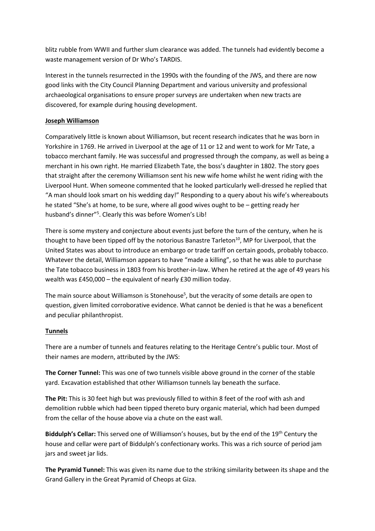blitz rubble from WWII and further slum clearance was added. The tunnels had evidently become a waste management version of Dr Who's TARDIS.

Interest in the tunnels resurrected in the 1990s with the founding of the JWS, and there are now good links with the City Council Planning Department and various university and professional archaeological organisations to ensure proper surveys are undertaken when new tracts are discovered, for example during housing development.

## **Joseph Williamson**

Comparatively little is known about Williamson, but recent research indicates that he was born in Yorkshire in 1769. He arrived in Liverpool at the age of 11 or 12 and went to work for Mr Tate, a tobacco merchant family. He was successful and progressed through the company, as well as being a merchant in his own right. He married Elizabeth Tate, the boss's daughter in 1802. The story goes that straight after the ceremony Williamson sent his new wife home whilst he went riding with the Liverpool Hunt. When someone commented that he looked particularly well-dressed he replied that "A man should look smart on his wedding day!" Responding to a query about his wife's whereabouts he stated "She's at home, to be sure, where all good wives ought to be – getting ready her husband's dinner"<sup>5</sup>. Clearly this was before Women's Lib!

There is some mystery and conjecture about events just before the turn of the century, when he is thought to have been tipped off by the notorious Banastre Tarleton $^{10}$ , MP for Liverpool, that the United States was about to introduce an embargo or trade tariff on certain goods, probably tobacco. Whatever the detail, Williamson appears to have "made a killing", so that he was able to purchase the Tate tobacco business in 1803 from his brother-in-law. When he retired at the age of 49 years his wealth was £450,000 – the equivalent of nearly £30 million today.

The main source about Williamson is Stonehouse<sup>5</sup>, but the veracity of some details are open to question, given limited corroborative evidence. What cannot be denied is that he was a beneficent and peculiar philanthropist.

## **Tunnels**

There are a number of tunnels and features relating to the Heritage Centre's public tour. Most of their names are modern, attributed by the JWS:

**The Corner Tunnel:** This was one of two tunnels visible above ground in the corner of the stable yard. Excavation established that other Williamson tunnels lay beneath the surface.

**The Pit:** This is 30 feet high but was previously filled to within 8 feet of the roof with ash and demolition rubble which had been tipped thereto bury organic material, which had been dumped from the cellar of the house above via a chute on the east wall.

**Biddulph's Cellar:** This served one of Williamson's houses, but by the end of the 19<sup>th</sup> Century the house and cellar were part of Biddulph's confectionary works. This was a rich source of period jam jars and sweet jar lids.

**The Pyramid Tunnel:** This was given its name due to the striking similarity between its shape and the Grand Gallery in the Great Pyramid of Cheops at Giza.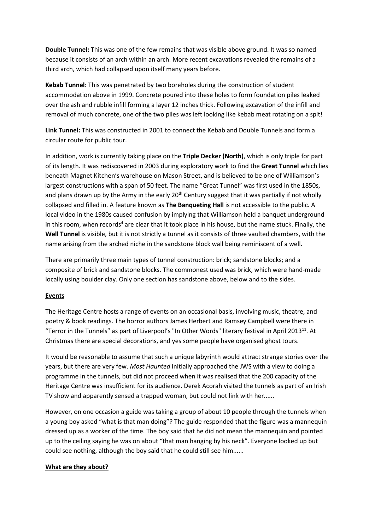**Double Tunnel:** This was one of the few remains that was visible above ground. It was so named because it consists of an arch within an arch. More recent excavations revealed the remains of a third arch, which had collapsed upon itself many years before.

**Kebab Tunnel:** This was penetrated by two boreholes during the construction of student accommodation above in 1999. Concrete poured into these holes to form foundation piles leaked over the ash and rubble infill forming a layer 12 inches thick. Following excavation of the infill and removal of much concrete, one of the two piles was left looking like kebab meat rotating on a spit!

**Link Tunnel:** This was constructed in 2001 to connect the Kebab and Double Tunnels and form a circular route for public tour.

In addition, work is currently taking place on the **Triple Decker (North)**, which is only triple for part of its length. It was rediscovered in 2003 during exploratory work to find the **Great Tunnel** which lies beneath Magnet Kitchen's warehouse on Mason Street, and is believed to be one of Williamson's largest constructions with a span of 50 feet. The name "Great Tunnel" was first used in the 1850s, and plans drawn up by the Army in the early 20<sup>th</sup> Century suggest that it was partially if not wholly collapsed and filled in. A feature known as **The Banqueting Hall** is not accessible to the public. A local video in the 1980s caused confusion by implying that Williamson held a banquet underground in this room, when records<sup>4</sup> are clear that it took place in his house, but the name stuck. Finally, the **Well Tunnel** is visible, but it is not strictly a tunnel as it consists of three vaulted chambers, with the name arising from the arched niche in the sandstone block wall being reminiscent of a well.

There are primarily three main types of tunnel construction: brick; sandstone blocks; and a composite of brick and sandstone blocks. The commonest used was brick, which were hand-made locally using boulder clay. Only one section has sandstone above, below and to the sides.

#### **Events**

The Heritage Centre hosts a range of events on an occasional basis, involving music, theatre, and poetry & book readings. The horror authors James Herbert and Ramsey Campbell were there in "Terror in the Tunnels" as part of Liverpool's "In Other Words" literary festival in April 201311. At Christmas there are special decorations, and yes some people have organised ghost tours.

It would be reasonable to assume that such a unique labyrinth would attract strange stories over the years, but there are very few. *Most Haunted* initially approached the JWS with a view to doing a programme in the tunnels, but did not proceed when it was realised that the 200 capacity of the Heritage Centre was insufficient for its audience. Derek Acorah visited the tunnels as part of an Irish TV show and apparently sensed a trapped woman, but could not link with her......

However, on one occasion a guide was taking a group of about 10 people through the tunnels when a young boy asked "what is that man doing"? The guide responded that the figure was a mannequin dressed up as a worker of the time. The boy said that he did not mean the mannequin and pointed up to the ceiling saying he was on about "that man hanging by his neck". Everyone looked up but could see nothing, although the boy said that he could still see him......

#### **What are they about?**